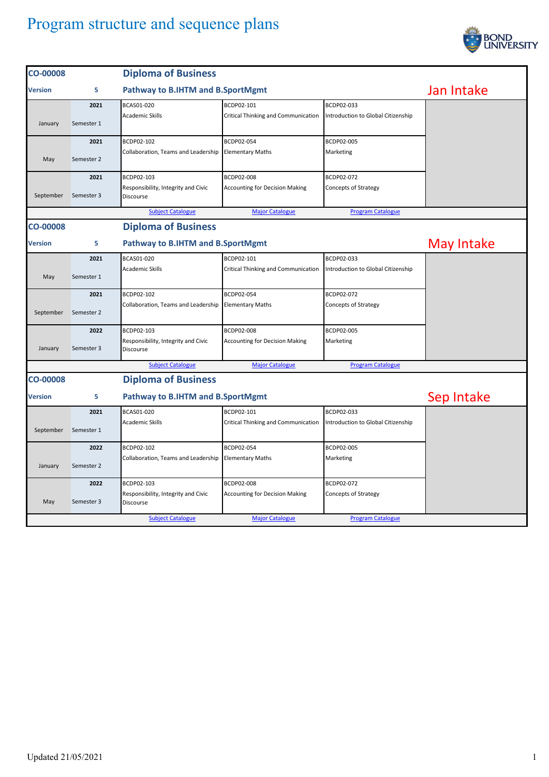

| <b>CO-00008</b> |            | <b>Diploma of Business</b>                              |                                       |                                    |            |
|-----------------|------------|---------------------------------------------------------|---------------------------------------|------------------------------------|------------|
| <b>Version</b>  | 5          | Pathway to B.IHTM and B.SportMgmt                       |                                       |                                    | Jan Intake |
|                 | 2021       | BCAS01-020                                              | BCDP02-101                            | BCDP02-033                         |            |
| January         | Semester 1 | <b>Academic Skills</b>                                  | Critical Thinking and Communication   | Introduction to Global Citizenship |            |
|                 | 2021       | BCDP02-102                                              | BCDP02-054                            | BCDP02-005                         |            |
| May             | Semester 2 | Collaboration, Teams and Leadership                     | <b>Elementary Maths</b>               | Marketing                          |            |
|                 | 2021       | BCDP02-103                                              | BCDP02-008                            | BCDP02-072                         |            |
| September       | Semester 3 | Responsibility, Integrity and Civic<br><b>Discourse</b> | <b>Accounting for Decision Making</b> | <b>Concepts of Strategy</b>        |            |
|                 |            | <b>Subject Catalogue</b>                                | <b>Major Catalogue</b>                | <b>Program Catalogue</b>           |            |
| <b>CO-00008</b> |            | <b>Diploma of Business</b>                              |                                       |                                    |            |
| <b>Version</b>  | 5          | Pathway to B.IHTM and B.SportMgmt                       |                                       |                                    | May Intake |
|                 | 2021       | BCAS01-020                                              | BCDP02-101                            | BCDP02-033                         |            |
| May             | Semester 1 | <b>Academic Skills</b>                                  | Critical Thinking and Communication   | Introduction to Global Citizenship |            |
|                 | 2021       | BCDP02-102                                              | BCDP02-054                            | BCDP02-072                         |            |
| September       | Semester 2 | Collaboration, Teams and Leadership                     | <b>Elementary Maths</b>               | <b>Concepts of Strategy</b>        |            |
|                 | 2022       | BCDP02-103                                              | BCDP02-008                            | BCDP02-005                         |            |
| January         | Semester 3 | Responsibility, Integrity and Civic<br>Discourse        | <b>Accounting for Decision Making</b> | Marketing                          |            |
|                 |            | <b>Subject Catalogue</b>                                | <b>Major Catalogue</b>                | <b>Program Catalogue</b>           |            |
| <b>CO-00008</b> |            | <b>Diploma of Business</b>                              |                                       |                                    |            |
| Version         | 5          | <b>Pathway to B.IHTM and B.SportMgmt</b>                |                                       |                                    | Sep Intake |
|                 | 2021       | BCAS01-020                                              | BCDP02-101                            | BCDP02-033                         |            |
| September       | Semester 1 | <b>Academic Skills</b>                                  | Critical Thinking and Communication   | Introduction to Global Citizenship |            |
|                 | 2022       | BCDP02-102                                              | BCDP02-054                            | BCDP02-005                         |            |
| January         | Semester 2 | Collaboration, Teams and Leadership                     | <b>Elementary Maths</b>               | Marketing                          |            |
|                 | 2022       | BCDP02-103                                              | <b>BCDP02-008</b>                     | BCDP02-072                         |            |
| May             | Semester 3 | Responsibility, Integrity and Civic<br>Discourse        | <b>Accounting for Decision Making</b> | <b>Concepts of Strategy</b>        |            |
|                 |            | <b>Subject Catalogue</b>                                | <b>Major Catalogue</b>                | <b>Program Catalogue</b>           |            |